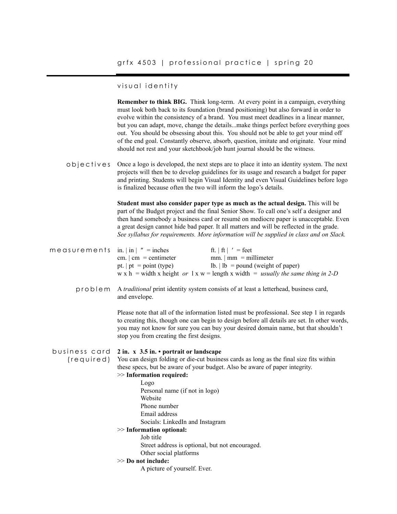### visual identity

**Remember to think BIG.** Think long-term. At every point in a campaign, everything must look both back to its foundation (brand positioning) but also forward in order to evolve within the consistency of a brand. You must meet deadlines in a linear manner, but you can adapt, move, change the details...make things perfect before everything goes out. You should be obsessing about this. You should not be able to get your mind off of the end goal. Constantly observe, absorb, question, imitate and originate. Your mind should not rest and your sketchbook/job hunt journal should be the witness.

Once a logo is developed, the next steps are to place it into an identity system. The next projects will then be to develop guidelines for its usage and research a budget for paper and printing. Students will begin Visual Identity and even Visual Guidelines before logo is finalized because often the two will inform the logo's details. objectives

> **Student must also consider paper type as much as the actual design.** This will be part of the Budget project and the final Senior Show. To call one's self a designer and then hand somebody a business card or resumé on mediocre paper is unacceptable. Even a great design cannot hide bad paper. It all matters and will be reflected in the grade. *See syllabus for requirements. More information will be supplied in class and on Slack.*

| measurements $in   in   " = inches$ |                             | ft. $ $ ft $ $ $\prime$ = feet                                                                     |
|-------------------------------------|-----------------------------|----------------------------------------------------------------------------------------------------|
|                                     | cm. $\vert$ cm = centimeter | $mm.$   $mm = millimeter$                                                                          |
|                                     | pt. $p_t = point (type)$    | $\  \cdot \ $ = pound (weight of paper)                                                            |
|                                     |                             | w x h = width x height or $1 x w =$ length x width = <i>usually the same thing in 2-D</i>          |
|                                     |                             |                                                                                                    |
|                                     |                             | problem A <i>traditional</i> print identity system consists of at least a letterhead business card |

A *traditional* print identity system consists of at least a letterhead, business card, and envelope. problem

> Please note that all of the information listed must be professional. See step 1 in regards to creating this, though one can begin to design before all details are set. In other words, you may not know for sure you can buy your desired domain name, but that shouldn't stop you from creating the first designs.

#### **2 in. x 3.5 in. • portrait or landscape** business card

You can design folding or die-cut business cards as long as the final size fits within these specs, but be aware of your budget. Also be aware of paper integrity. (required)

# >> **Information required:**

Logo Personal name (if not in logo) Website Phone number Email address Socials: LinkedIn and Instagram

#### >> **Information optional:**

Job title

Street address is optional, but not encouraged.

- Other social platforms
- >> **Do not include:** 
	- A picture of yourself. Ever.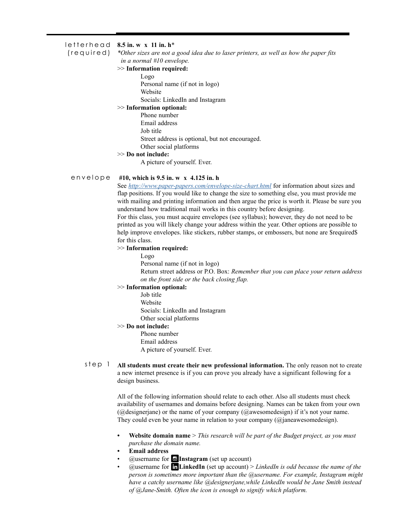#### **8.5 in. w x 11 in. h**\* letterhead

(required)

# *\*Other sizes are not a good idea due to laser printers, as well as how the paper fits*

*in a normal #10 envelope.*  >> **Information required:**

Logo

Personal name (if not in logo)

Website

Socials: LinkedIn and Instagram

# >> **Information optional:**

Phone number

Email address

Job title

Street address is optional, but not encouraged.

Other social platforms

# >> **Do not include:**

A picture of yourself. Ever.

#### **#10, which is 9.5 in. w x 4.125 in. h** envelope

See *<http://www.paper-papers.com/envelope-size-chart.html>* for information about sizes and flap positions. If you would like to change the size to something else, you must provide me with mailing and printing information and then argue the price is worth it. Please be sure you understand how traditional mail works in this country before designing.

For this class, you must acquire envelopes (see syllabus); however, they do not need to be printed as you will likely change your address within the year. Other options are possible to help improve envelopes. like stickers, rubber stamps, or embossers, but none are \$required\$ for this class.

#### >> **Information required:**

Logo

Personal name (if not in logo)

Return street address or P.O. Box: *Remember that you can place your return address on the front side or the back closing flap.*

#### >> **Information optional:**

Job title Website Socials: LinkedIn and Instagram Other social platforms

# >> **Do not include:**

Phone number Email address A picture of yourself. Ever.

**All students must create their new professional information.** The only reason not to create a new internet presence is if you can prove you already have a significant following for a design business. step 1

> All of the following information should relate to each other. Also all students must check availability of usernames and domains before designing. Names can be taken from your own (@designerjane) or the name of your company (@awesomedesign) if it's not your name. They could even be your name in relation to your company (@janeawesomedesign).

- **• Website domain name** > *This research will be part of the Budget project, as you must purchase the domain name.*
- **• Email address**
- $(a)$ username for **aInstagram** (set up account)
- @username for S**LinkedIn** (set up account) > *LinkedIn is odd because the name of the person is sometimes more important than the @username. For example, Instagram might have a catchy username like @designerjane,while LinkedIn would be Jane Smith instead of @Jane-Smith. Often the icon is enough to signify which platform.*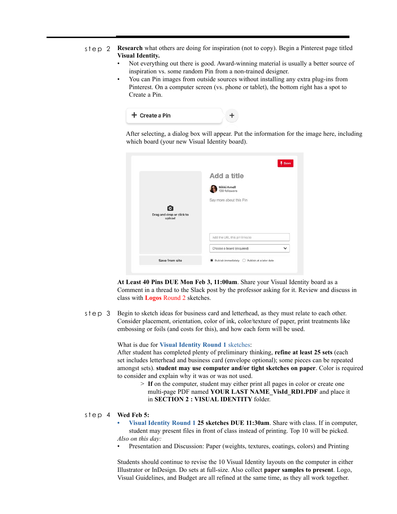- $s \neq p$  2 **Research** what others are doing for inspiration (not to copy). Begin a Pinterest page titled **Visual Identity.** 
	- Not everything out there is good. Award-winning material is usually a better source of inspiration vs. some random Pin from a non-trained designer.
	- You can Pin images from outside sources without installing any extra plug-ins from Pinterest. On a computer screen (vs. phone or tablet), the bottom right has a spot to Create a Pin.



 After selecting, a dialog box will appear. Put the information for the image here, including which board (your new Visual Identity board).

|                           | Add a title                               |
|---------------------------|-------------------------------------------|
|                           | Nikki Arnell<br>139 followers             |
|                           | Say more about this Pin                   |
| О                         |                                           |
| Drag and drop or click to |                                           |
| upload                    |                                           |
|                           |                                           |
|                           | Add the URL this pin links to             |
|                           | Choose a board (required)<br>$\checkmark$ |

**At Least 40 Pins DUE Mon Feb 3, 11:00am**. Share your Visual Identity board as a Comment in a thread to the Slack post by the professor asking for it. Review and discuss in class with **Logos** Round 2 sketches.

Begin to sketch ideas for business card and letterhead, as they must relate to each other. Consider placement, orientation, color of ink, color/texture of paper, print treatments like embossing or foils (and costs for this), and how each form will be used. step 3

What is due for **Visual Identity Round 1** sketches:

After student has completed plenty of preliminary thinking, **refine at least 25 sets** (each set includes letterhead and business card (envelope optional); some pieces can be repeated amongst sets). **student may use computer and/or tight sketches on paper**. Color is required to consider and explain why it was or was not used.

> **If** on the computer, student may either print all pages in color or create one multi-page PDF named **YOUR LAST NAME\_VisId\_RD1.PDF** and place it in **SECTION 2 : VISUAL IDENTITY** folder.

### **Wed Feb 5:** step 4

- **• Visual Identity Round 1 25 sketches DUE 11:30am**. Share with class. If in computer, student may present files in front of class instead of printing. Top 10 will be picked. *Also on this day:*
- Presentation and Discussion: Paper (weights, textures, coatings, colors) and Printing

Students should continue to revise the 10 Visual Identity layouts on the computer in either Illustrator or InDesign. Do sets at full-size. Also collect **paper samples to present**. Logo, Visual Guidelines, and Budget are all refined at the same time, as they all work together.